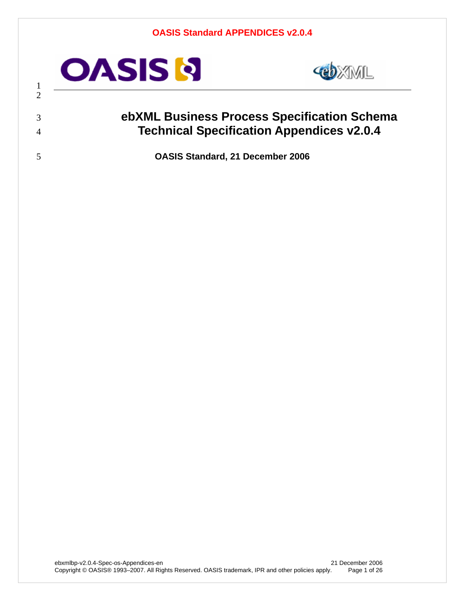

 



## **ebXML Business Process Specification Schema Technical Specification Appendices v2.0.4**

**OASIS Standard, 21 December 2006**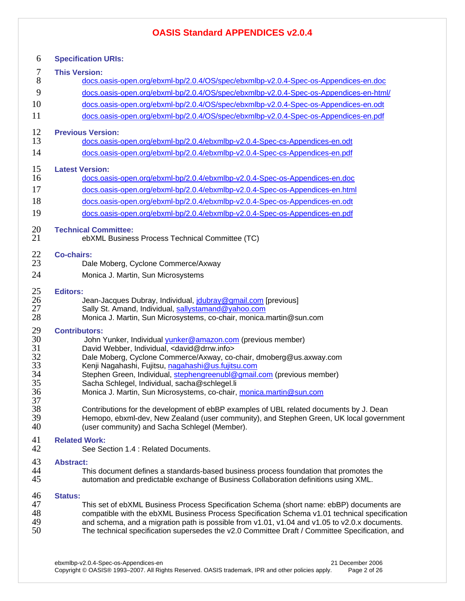| 6                                                  | <b>Specification URIs:</b>                                                                                                                                                                                                                                                                                                                                                                                                                                                               |
|----------------------------------------------------|------------------------------------------------------------------------------------------------------------------------------------------------------------------------------------------------------------------------------------------------------------------------------------------------------------------------------------------------------------------------------------------------------------------------------------------------------------------------------------------|
| 7                                                  | <b>This Version:</b>                                                                                                                                                                                                                                                                                                                                                                                                                                                                     |
| 8                                                  | docs.oasis-open.org/ebxml-bp/2.0.4/OS/spec/ebxmlbp-v2.0.4-Spec-os-Appendices-en.doc                                                                                                                                                                                                                                                                                                                                                                                                      |
| 9                                                  | docs.oasis-open.org/ebxml-bp/2.0.4/OS/spec/ebxmlbp-v2.0.4-Spec-os-Appendices-en-html/                                                                                                                                                                                                                                                                                                                                                                                                    |
| 10                                                 | docs.oasis-open.org/ebxml-bp/2.0.4/OS/spec/ebxmlbp-v2.0.4-Spec-os-Appendices-en.odt                                                                                                                                                                                                                                                                                                                                                                                                      |
| 11                                                 | docs.oasis-open.org/ebxml-bp/2.0.4/OS/spec/ebxmlbp-v2.0.4-Spec-os-Appendices-en.pdf                                                                                                                                                                                                                                                                                                                                                                                                      |
| 12                                                 | <b>Previous Version:</b>                                                                                                                                                                                                                                                                                                                                                                                                                                                                 |
| 13                                                 | docs.oasis-open.org/ebxml-bp/2.0.4/ebxmlbp-v2.0.4-Spec-cs-Appendices-en.odt                                                                                                                                                                                                                                                                                                                                                                                                              |
| 14                                                 | docs.oasis-open.org/ebxml-bp/2.0.4/ebxmlbp-v2.0.4-Spec-cs-Appendices-en.pdf                                                                                                                                                                                                                                                                                                                                                                                                              |
| 15                                                 | <b>Latest Version:</b>                                                                                                                                                                                                                                                                                                                                                                                                                                                                   |
| 16                                                 | docs.oasis-open.org/ebxml-bp/2.0.4/ebxmlbp-v2.0.4-Spec-os-Appendices-en.doc                                                                                                                                                                                                                                                                                                                                                                                                              |
| 17                                                 | docs.oasis-open.org/ebxml-bp/2.0.4/ebxmlbp-v2.0.4-Spec-os-Appendices-en.html                                                                                                                                                                                                                                                                                                                                                                                                             |
| 18                                                 | docs.oasis-open.org/ebxml-bp/2.0.4/ebxmlbp-v2.0.4-Spec-os-Appendices-en.odt                                                                                                                                                                                                                                                                                                                                                                                                              |
| 19                                                 | docs.oasis-open.org/ebxml-bp/2.0.4/ebxmlbp-v2.0.4-Spec-os-Appendices-en.pdf                                                                                                                                                                                                                                                                                                                                                                                                              |
| 20                                                 | <b>Technical Committee:</b>                                                                                                                                                                                                                                                                                                                                                                                                                                                              |
| 21                                                 | ebXML Business Process Technical Committee (TC)                                                                                                                                                                                                                                                                                                                                                                                                                                          |
| 22                                                 | <b>Co-chairs:</b>                                                                                                                                                                                                                                                                                                                                                                                                                                                                        |
| 23                                                 | Dale Moberg, Cyclone Commerce/Axway                                                                                                                                                                                                                                                                                                                                                                                                                                                      |
| 24                                                 | Monica J. Martin, Sun Microsystems                                                                                                                                                                                                                                                                                                                                                                                                                                                       |
| 25                                                 | <b>Editors:</b>                                                                                                                                                                                                                                                                                                                                                                                                                                                                          |
| 26                                                 | Jean-Jacques Dubray, Individual, <i>idubray@gmail.com</i> [previous]                                                                                                                                                                                                                                                                                                                                                                                                                     |
| 27                                                 | Sally St. Amand, Individual, sallystamand@yahoo.com                                                                                                                                                                                                                                                                                                                                                                                                                                      |
| 28                                                 | Monica J. Martin, Sun Microsystems, co-chair, monica.martin@sun.com                                                                                                                                                                                                                                                                                                                                                                                                                      |
| 29<br>30<br>31<br>32<br>33<br>34<br>35<br>36<br>37 | <b>Contributors:</b><br>John Yunker, Individual yunker@amazon.com (previous member)<br>David Webber, Individual, <david@drrw.info><br/>Dale Moberg, Cyclone Commerce/Axway, co-chair, dmoberg@us.axway.com<br/>Kenji Nagahashi, Fujitsu, nagahashi@us.fujitsu.com<br/>Stephen Green, Individual, stephengreenubl@gmail.com (previous member)<br/>Sacha Schlegel, Individual, sacha@schlegel.li<br/>Monica J. Martin, Sun Microsystems, co-chair, monica.martin@sun.com</david@drrw.info> |
| 38                                                 | Contributions for the development of ebBP examples of UBL related documents by J. Dean                                                                                                                                                                                                                                                                                                                                                                                                   |
| 39                                                 | Hemopo, ebxml-dev, New Zealand (user community), and Stephen Green, UK local government                                                                                                                                                                                                                                                                                                                                                                                                  |
| 40                                                 | (user community) and Sacha Schlegel (Member).                                                                                                                                                                                                                                                                                                                                                                                                                                            |
| 41                                                 | <b>Related Work:</b>                                                                                                                                                                                                                                                                                                                                                                                                                                                                     |
| 42                                                 | See Section 1.4 : Related Documents.                                                                                                                                                                                                                                                                                                                                                                                                                                                     |
| 43                                                 | <b>Abstract:</b>                                                                                                                                                                                                                                                                                                                                                                                                                                                                         |
| 44                                                 | This document defines a standards-based business process foundation that promotes the                                                                                                                                                                                                                                                                                                                                                                                                    |
| 45                                                 | automation and predictable exchange of Business Collaboration definitions using XML.                                                                                                                                                                                                                                                                                                                                                                                                     |
| 46                                                 | <b>Status:</b>                                                                                                                                                                                                                                                                                                                                                                                                                                                                           |
| 47                                                 | This set of ebXML Business Process Specification Schema (short name: ebBP) documents are                                                                                                                                                                                                                                                                                                                                                                                                 |
| 48                                                 | compatible with the ebXML Business Process Specification Schema v1.01 technical specification                                                                                                                                                                                                                                                                                                                                                                                            |
| 49                                                 | and schema, and a migration path is possible from v1.01, v1.04 and v1.05 to v2.0.x documents.                                                                                                                                                                                                                                                                                                                                                                                            |
| 50                                                 | The technical specification supersedes the v2.0 Committee Draft / Committee Specification, and                                                                                                                                                                                                                                                                                                                                                                                           |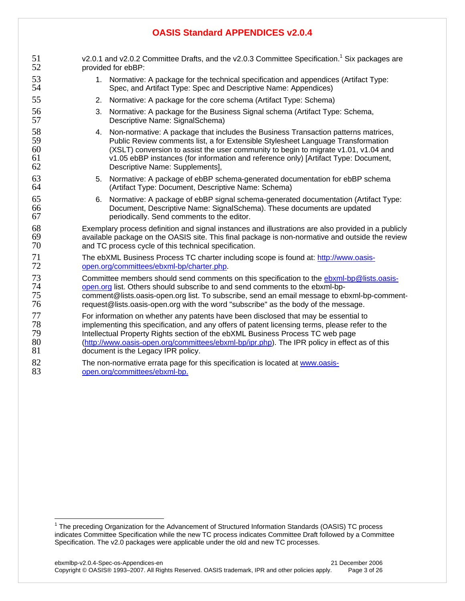| 51 | v2.0.1 and v2.0.2 Committee Drafts, and the v2.0.3 Committee Specification. <sup>1</sup> Six packages are |
|----|-----------------------------------------------------------------------------------------------------------|
| 52 | provided for ebBP:                                                                                        |
| 53 | 1. Normative: A package for the technical specification and appendices (Artifact Type:                    |
| 54 | Spec, and Artifact Type: Spec and Descriptive Name: Appendices)                                           |
| 55 | 2. Normative: A package for the core schema (Artifact Type: Schema)                                       |
| 56 | 3. Normative: A package for the Business Signal schema (Artifact Type: Schema,                            |
| 57 | Descriptive Name: SignalSchema)                                                                           |
| 58 | 4. Non-normative: A package that includes the Business Transaction patterns matrices,                     |
| 59 | Public Review comments list, a for Extensible Stylesheet Language Transformation                          |
| 60 | (XSLT) conversion to assist the user community to begin to migrate v1.01, v1.04 and                       |
| 61 | v1.05 ebBP instances (for information and reference only) [Artifact Type: Document,                       |
| 62 | Descriptive Name: Supplements],                                                                           |
| 63 | 5. Normative: A package of ebBP schema-generated documentation for ebBP schema                            |
| 64 | (Artifact Type: Document, Descriptive Name: Schema)                                                       |
| 65 | 6. Normative: A package of ebBP signal schema-generated documentation (Artifact Type:                     |
| 66 | Document, Descriptive Name: SignalSchema). These documents are updated                                    |
| 67 | periodically. Send comments to the editor.                                                                |
| 68 | Exemplary process definition and signal instances and illustrations are also provided in a publicly       |
| 69 | available package on the OASIS site. This final package is non-normative and outside the review           |
| 70 | and TC process cycle of this technical specification.                                                     |
| 71 | The ebXML Business Process TC charter including scope is found at: http://www.oasis-                      |
| 72 | open.org/committees/ebxml-bp/charter.php.                                                                 |
| 73 | Committee members should send comments on this specification to the ebxml-bp@lists.oasis-                 |
| 74 | open.org list. Others should subscribe to and send comments to the ebxml-bp-                              |
| 75 | comment@lists.oasis-open.org list. To subscribe, send an email message to ebxml-bp-comment-               |
| 76 | request@lists.oasis-open.org with the word "subscribe" as the body of the message.                        |
| 77 | For information on whether any patents have been disclosed that may be essential to                       |
| 78 | implementing this specification, and any offers of patent licensing terms, please refer to the            |
| 79 | Intellectual Property Rights section of the ebXML Business Process TC web page                            |
| 80 | (http://www.oasis-open.org/committees/ebxml-bp/ipr.php). The IPR policy in effect as of this              |
| 81 | document is the Legacy IPR policy.                                                                        |
| 82 | The non-normative errata page for this specification is located at www.oasis-                             |
| 83 | open.org/committees/ebxml-bp.                                                                             |

THE RECORD THE PROCED THE PROCED THE PROCED THE PROCESS TE process The Advancement of Structured Information Standards (OASIS) TC process indicates Committee Specification while the new TC process indicates Committee Draft followed by a Committee Specification. The v2.0 packages were applicable under the old and new TC processes.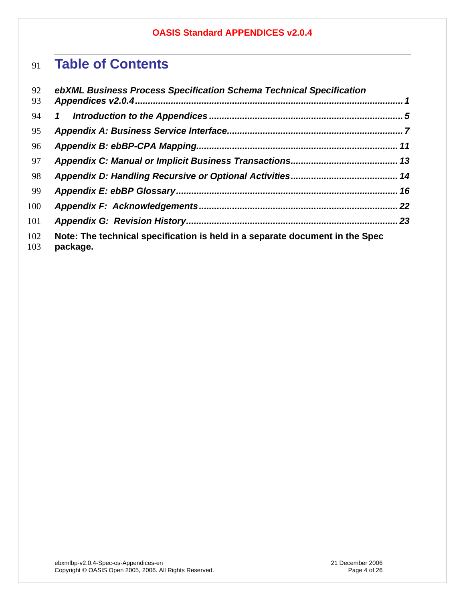# **Table of Contents**

| 92<br>93   | ebXML Business Process Specification Schema Technical Specification                      |  |
|------------|------------------------------------------------------------------------------------------|--|
| 94         | $\mathbf{1}$                                                                             |  |
| 95         |                                                                                          |  |
| 96         |                                                                                          |  |
| 97         |                                                                                          |  |
| 98         |                                                                                          |  |
| 99         |                                                                                          |  |
| 100        |                                                                                          |  |
| 101        |                                                                                          |  |
| 102<br>103 | Note: The technical specification is held in a separate document in the Spec<br>package. |  |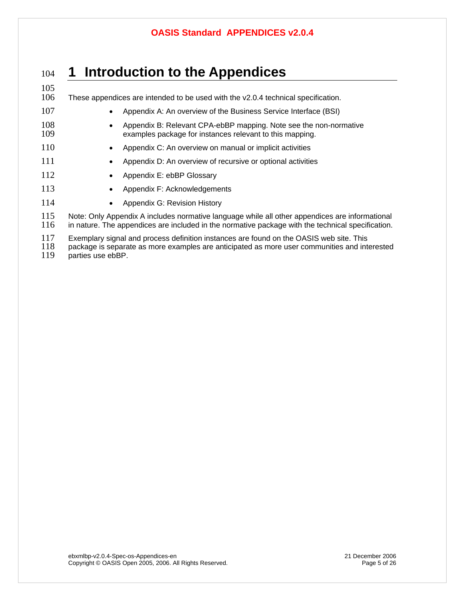## <sup>104</sup>**1 Introduction to the Appendices**

105<br>106 These appendices are intended to be used with the  $v2.0.4$  technical specification.

- 107 Appendix A: An overview of the Business Service Interface (BSI)
- 108 Appendix B: Relevant CPA-ebBP mapping. Note see the non-normative<br>109 examples package for instances relevant to this mapping. examples package for instances relevant to this mapping.
- 110 Appendix C: An overview on manual or implicit activities
- 111 Appendix D: An overview of recursive or optional activities
- 112 Appendix E: ebBP Glossary
- 113 Appendix F: Acknowledgements
- 114 Appendix G: Revision History

115 Note: Only Appendix A includes normative language while all other appendices are informational<br>116 in nature. The appendices are included in the normative package with the technical specification. in nature. The appendices are included in the normative package with the technical specification.

117 Exemplary signal and process definition instances are found on the OASIS web site. This<br>118 package is separate as more examples are anticipated as more user communities and inte

- 118 package is separate as more examples are anticipated as more user communities and interested 119 parties use ebBP.
- parties use ebBP.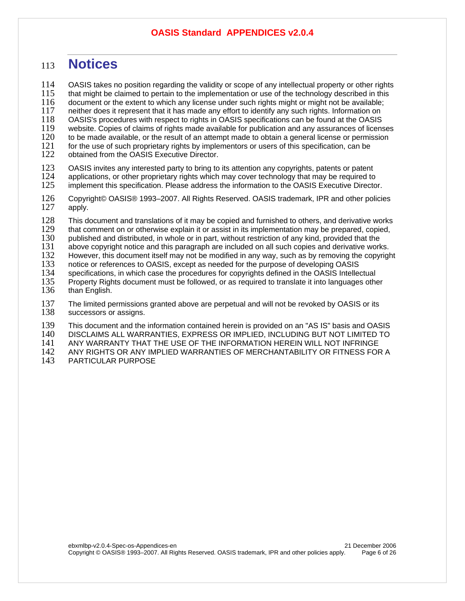## <sup>113</sup>**Notices**

114 OASIS takes no position regarding the validity or scope of any intellectual property or other rights 115 that mights that mights that mights be claimed to pertain to the implementation or use of the technology describe that might be claimed to pertain to the implementation or use of the technology described in this 116 document or the extent to which any license under such rights might or might not be available; 117 neither does it represent that it has made any effort to identify any such rights. Information on 118 OASIS's procedures with respect to rights in OASIS specifications can be found at the OASIS 118 OASIS's procedures with respect to rights in OASIS specifications can be found at the OASIS 119 website. Copies of claims of rights made available for publication and any assurances of licenses<br>120 to be made available, or the result of an attempt made to obtain a general license or permission 120 to be made available, or the result of an attempt made to obtain a general license or permission 121 for the use of such proprietary rights by implementors or users of this specification, can be 121 for the use of such proprietary rights by implementors or users of this specification, can be 122 obtained from the OASIS Executive Director. obtained from the OASIS Executive Director.

- 123 OASIS invites any interested party to bring to its attention any copyrights, patents or patent<br>124 applications, or other proprietary rights which may cover technology that may be required to 124 applications, or other proprietary rights which may cover technology that may be required to 125 implement this specification. Please address the information to the OASIS Executive Directo implement this specification. Please address the information to the OASIS Executive Director.
- 126 Copyright© OASIS® 1993–2007. All Rights Reserved. OASIS trademark, IPR and other policies 127 apply. apply.
- 128 This document and translations of it may be copied and furnished to others, and derivative works<br>129 that comment on or otherwise explain it or assist in its implementation may be prepared, copied,
- 129 that comment on or otherwise explain it or assist in its implementation may be prepared, copied, 130 published and distributed, in whole or in part, without restriction of any kind, provided that the
- 130 published and distributed, in whole or in part, without restriction of any kind, provided that the 131 above copyright notice and this paragraph are included on all such copies and derivative work
- 131 above copyright notice and this paragraph are included on all such copies and derivative works.<br>132 However, this document itself may not be modified in any way, such as by removing the copyrigl
- 132 However, this document itself may not be modified in any way, such as by removing the copyright 133 notice or references to OASIS, except as needed for the purpose of developing OASIS
- 133 notice or references to OASIS, except as needed for the purpose of developing OASIS
- 134 specifications, in which case the procedures for copyrights defined in the OASIS Intellectual<br>135 Property Rights document must be followed, or as required to translate it into languages othe 135 Property Rights document must be followed, or as required to translate it into languages other 136 ther
- than English.
- 137 The limited permissions granted above are perpetual and will not be revoked by OASIS or its 138 successors or assigns. successors or assigns.
- 139 This document and the information contained herein is provided on an "AS IS" basis and OASIS<br>140 DISCLAIMS ALL WARRANTIES, EXPRESS OR IMPLIED, INCLUDING BUT NOT LIMITED TO
- 140 DISCLAIMS ALL WARRANTIES, EXPRESS OR IMPLIED, INCLUDING BUT NOT LIMITED TO
- 141 ANY WARRANTY THAT THE USE OF THE INFORMATION HEREIN WILL NOT INFRINGE<br>142 ANY RIGHTS OR ANY IMPLIED WARRANTIES OF MERCHANTABILITY OR FITNESS FOR
- 142 ANY RIGHTS OR ANY IMPLIED WARRANTIES OF MERCHANTABILITY OR FITNESS FOR A<br>143 PARTICULAR PURPOSE
- 143 PARTICULAR PURPOSE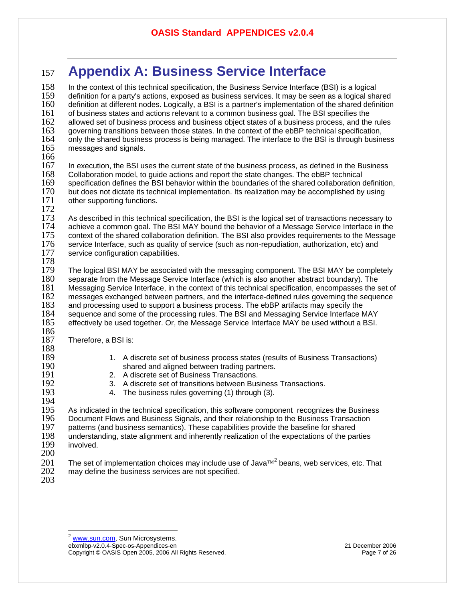## <sup>157</sup>**Appendix A: Business Service Interface**

<span id="page-6-0"></span>158 In the context of this technical specification, the Business Service Interface (BSI) is a logical<br>159 definition for a party's actions, exposed as business services. It may be seen as a logical sha 159 definition for a party's actions, exposed as business services. It may be seen as a logical shared 160 definition at different nodes. Logically, a BSI is a partner's implementation of the shared definition 161<br>161 of business states and actions relevant to a common business goal. The BSI specifies the 161 of business states and actions relevant to a common business goal. The BSI specifies the 162<br>162 allowed set of business process and business object states of a business process, and the 162 allowed set of business process and business object states of a business process, and the rules<br>163 governing transitions between those states. In the context of the ebBP technical specification, 163 governing transitions between those states. In the context of the ebBP technical specification,<br>164 only the shared business process is being managed. The interface to the BSI is through busine 164 only the shared business process is being managed. The interface to the BSI is through business 165 messages and signals. messages and signals. 166<br>167 167 In execution, the BSI uses the current state of the business process, as defined in the Business 168<br>168 Collaboration model, to quide actions and report the state changes. The ebBP technical 168 Collaboration model, to guide actions and report the state changes. The ebBP technical<br>169 specification defines the BSI behavior within the boundaries of the shared collaboration of 169 specification defines the BSI behavior within the boundaries of the shared collaboration definition, 170 but does not dictate its technical implementation. Its realization may be accomplished by using 170 but does not dictate its technical implementation. Its realization may be accomplished by using <br>171 other supporting functions. other supporting functions. 172<br>173 173 As described in this technical specification, the BSI is the logical set of transactions necessary to 174 achieve a common goal. The BSI MAY bound the behavior of a Message Service Interface in the 174 achieve a common goal. The BSI MAY bound the behavior of a Message Service Interface in the 155<br>175 context of the shared collaboration definition. The BSI also provides requirements to the Message 175 context of the shared collaboration definition. The BSI also provides requirements to the Message<br>176 service Interface, such as quality of service (such as non-repudiation, authorization, etc) and 176 service Interface, such as quality of service (such as non-repudiation, authorization, etc) and <br>177 service configuration capabilities. service configuration capabilities. 178<br>179 179 The logical BSI MAY be associated with the messaging component. The BSI MAY be completely 180 separate from the Message Service Interface (which is also another abstract boundary). The 180 separate from the Message Service Interface (which is also another abstract boundary). The 181<br>181 Messaging Service Interface, in the context of this technical specification, encompasses the s 181 Messaging Service Interface, in the context of this technical specification, encompasses the set of 182<br>182 messages exchanged between partners, and the interface-defined rules governing the sequence 182 messages exchanged between partners, and the interface-defined rules governing the sequence 183<br>183 and processing used to support a business process. The ebBP artifacts may specify the 183 and processing used to support a business process. The ebBP artifacts may specify the 184<br>184 sequence and some of the processing rules. The BSI and Messaging Service Interface N 184 sequence and some of the processing rules. The BSI and Messaging Service Interface MAY<br>185 effectively be used together. Or. the Message Service Interface MAY be used without a BSI. effectively be used together. Or, the Message Service Interface MAY be used without a BSI. 186<br>187 Therefore, a BSI is: 188<br>189 189 1. A discrete set of business process states (results of Business Transactions)<br>190 190 190 1910 Shared and aligned between trading partners. 190 shared and aligned between trading partners. 191 2. A discrete set of Business Transactions.<br>192 3. A discrete set of transitions between Bus 192 3. A discrete set of transitions between Business Transactions.<br>193 193 4. The business rules governing (1) through (3). 4. The business rules governing (1) through (3). 194<br>195 195 As indicated in the technical specification, this software component recognizes the Business<br>196 Document Flows and Business Signals, and their relationship to the Business Transaction 196 Document Flows and Business Signals, and their relationship to the Business Transaction<br>197 patterns (and business semantics). These capabilities provide the baseline for shared 197 patterns (and business semantics). These capabilities provide the baseline for shared<br>198 understanding, state alignment and inherently realization of the expectations of the par 198 understanding, state alignment and inherently realization of the expectations of the parties 199 involved. involved. 200 The set of implementation choices may include use of Java<sup>™[2](#page-6-0)</sup> beans, web services, etc. That  $202$  may define the business services are not specified. may define the business services are not specified. 203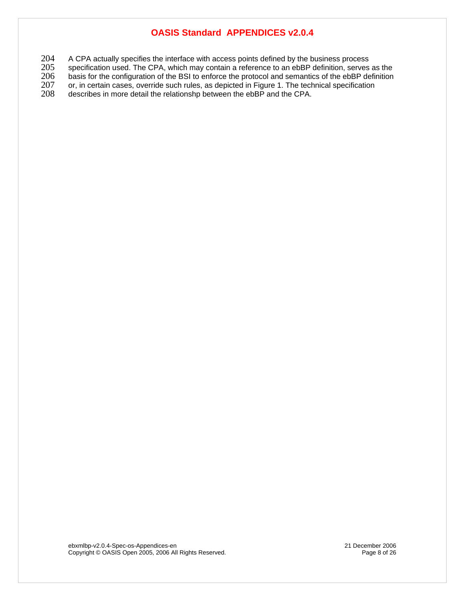204 A CPA actually specifies the interface with access points defined by the business process<br>205 specification used. The CPA, which may contain a reference to an ebBP definition, serves

205 specification used. The CPA, which may contain a reference to an ebBP definition, serves as the 206 basis for the configuration of the BSI to enforce the protocol and semantics of the ebBP definition

206 basis for the configuration of the BSI to enforce the protocol and semantics of the ebBP definition<br>207 or, in certain cases, override such rules, as depicted in Figure 1. The technical specification

207 or, in certain cases, override such rules, as depicted in Figure 1. The technical specification<br>208 describes in more detail the relationshp between the ebBP and the CPA. describes in more detail the relationshp between the ebBP and the CPA.

ebxmlbp-v2.0.4-Spec-os-Appendices-en 21 December 2006 Copyright © OASIS Open 2005, 2006 All Rights Reserved. Page 8 of 26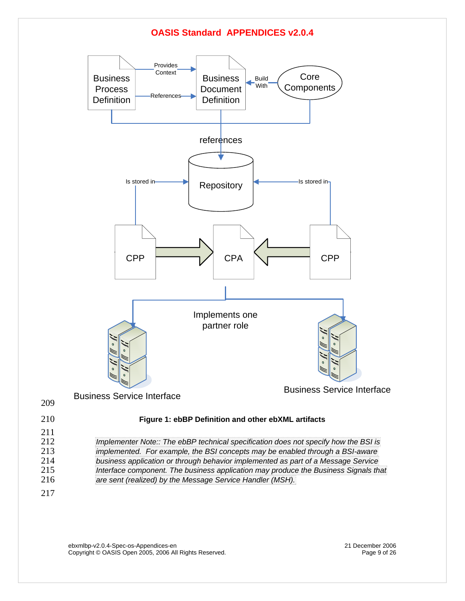

ebxmlbp-v2.0.4-Spec-os-Appendices-en 21 December 2006 Copyright © OASIS Open 2005, 2006 All Rights Reserved. **Page 9 of 26** Page 9 of 26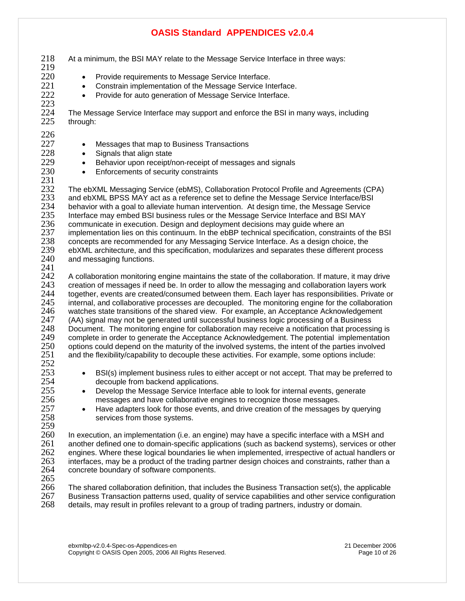- 218 At a minimum, the BSI MAY relate to the Message Service Interface in three ways: 219 220 • Provide requirements to Message Service Interface. 221 • Constrain implementation of the Message Service Interface.<br>222 • Provide for auto generation of Message Service Interface • Provide for auto generation of Message Service Interface. 223<br>224 224 The Message Service Interface may support and enforce the BSI in many ways, including through:  $\frac{226}{227}$ • Messages that map to Business Transactions 228 • Signals that align state<br>229 • Behavior upon receipt/r 229 • Behavior upon receipt/non-receipt of messages and signals<br>230 • Enforcements of security constraints Enforcements of security constraints  $\frac{231}{232}$ 232 The ebXML Messaging Service (ebMS), Collaboration Protocol Profile and Agreements (CPA)<br>233 and ebXML BPSS MAY act as a reference set to define the Message Service Interface/BSI 233 and ebXML BPSS MAY act as a reference set to define the Message Service Interface/BSI<br>234 behavior with a goal to alleviate human intervention. At design time, the Message Service 234 behavior with a goal to alleviate human intervention. At design time, the Message Service<br>235 Interface may embed BSI business rules or the Message Service Interface and BSI MAY 235 Interface may embed BSI business rules or the Message Service Interface and BSI MAY<br>236 communicate in execution. Design and deployment decisions may guide where an communicate in execution. Design and deployment decisions may guide where an 237 implementation lies on this continuum. In the ebBP technical specification, constraints of the BSI<br>238 concepts are recommended for any Messaging Service Interface. As a design choice, the 238 concepts are recommended for any Messaging Service Interface. As a design choice, the 239 ebXML architecture, and this specification, modularizes and separates these different proc 239 ebXML architecture, and this specification, modularizes and separates these different process 240 and messaging functions. and messaging functions. 241<br>242 242 A collaboration monitoring engine maintains the state of the collaboration. If mature, it may drive 243 creation of messages if need be. In order to allow the messaging and collaboration lavers work 243 creation of messages if need be. In order to allow the messaging and collaboration layers work 244 together, events are created/consumed between them. Each layer has responsibilities. Private or 245 internal, and collaborative processes are decoupled. The monitoring engine for the collaboration 245 internal, and collaborative processes are decoupled. The monitoring engine for the collaboration<br>246 vatches state transitions of the shared view. For example, an Acceptance Acknowledgement 246 watches state transitions of the shared view. For example, an Acceptance Acknowledgement 247 (AA) signal may not be generated until successful business 247 (AA) signal may not be generated until successful business logic processing of a Business 248 Document. The monitoring engine for collaboration may receive a notification that processing is<br>249 Complete in order to generate the Acceptance Acknowledgement. The potential implementation 249 complete in order to generate the Acceptance Acknowledgement. The potential implementation<br>250 options could depend on the maturity of the involved systems, the intent of the parties involved 250 options could depend on the maturity of the involved systems, the intent of the parties involved 251 and the flexibility/capability to decouple these activities. For example, some options include: and the flexibility/capability to decouple these activities. For example, some options include:  $\frac{252}{253}$ <sup>253</sup> • BSI(s) implement business rules to either accept or not accept. That may be preferred to 254 decouple from backend applications. 255 • Develop the Message Service Interface able to look for internal events, generate 256 messages and have collaborative engines to recognize those messages.<br>257 **e** Have adapters look for those events, and drive creation of the messages <sup>257</sup> • Have adapters look for those events, and drive creation of the messages by querying<br>258 services from those systems. services from those systems. 259 260 In execution, an implementation (i.e. an engine) may have a specific interface with a MSH and 261 another defined one to domain-specific applications (such as backend systems), services or ot 261 another defined one to domain-specific applications (such as backend systems), services or other 262 engines. Where these logical boundaries lie when implemented, irrespective of actual handlers or 263 interfaces, may be a product of the trading partner design choices and constraints, rather than a 263 interfaces, may be a product of the trading partner design choices and constraints, rather than a 264 concrete boundary of software components. concrete boundary of software components.
- $\frac{265}{266}$

266 The shared collaboration definition, that includes the Business Transaction set(s), the applicable 267 Business Transaction patterns used, quality of service capabilities and other service configuration 267 Business Transaction patterns used, quality of service capabilities and other service configuration<br>268 details, may result in profiles relevant to a group of trading partners, industry or domain. details, may result in profiles relevant to a group of trading partners, industry or domain.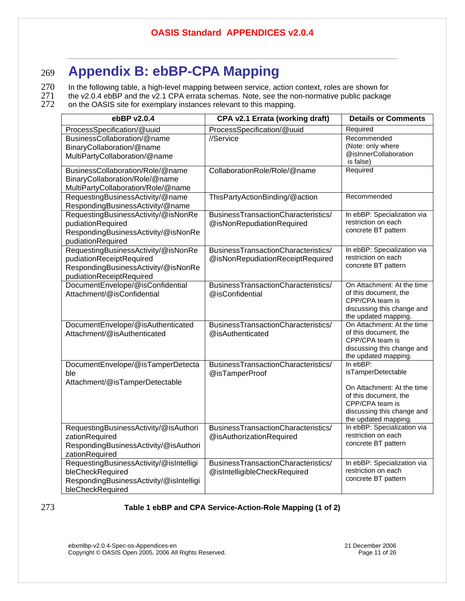## <sup>269</sup>**Appendix B: ebBP-CPA Mapping**

 $270$  In the following table, a high-level mapping between service, action context, roles are shown for  $271$  the v2.0.4 ebBP and the v2.1 CPA errata schemas. Note, see the non-normative public package 271 the v2.0.4 ebBP and the v2.1 CPA errata schemas. Note, see the non-normative public package<br>272 on the OASIS site for exemplary instances relevant to this mapping.

on the OASIS site for exemplary instances relevant to this mapping.

| ebBP v2.0.4                                                                                                                        | CPA v2.1 Errata (working draft)                                         | <b>Details or Comments</b>                                                                                                   |
|------------------------------------------------------------------------------------------------------------------------------------|-------------------------------------------------------------------------|------------------------------------------------------------------------------------------------------------------------------|
| ProcessSpecification/@uuid                                                                                                         | ProcessSpecification/@uuid                                              | Required                                                                                                                     |
| BusinessCollaboration/@name<br>BinaryCollaboration/@name                                                                           | //Service                                                               | Recommended<br>(Note: only where                                                                                             |
| MultiPartyCollaboration/@name                                                                                                      |                                                                         | @isInnerCollaboration<br>is false)                                                                                           |
| BusinessCollaboration/Role/@name<br>BinaryCollaboration/Role/@name<br>MultiPartyCollaboration/Role/@name                           | CollaborationRole/Role/@name                                            | Required                                                                                                                     |
| RequestingBusinessActivity/@name<br>RespondingBusinessActivity/@name                                                               | ThisPartyActionBinding/@action                                          | Recommended                                                                                                                  |
| RequestingBusinessActivity/@isNonRe<br>pudiationRequired<br>RespondingBusinessActivity/@isNonRe<br>pudiationRequired               | BusinessTransactionCharacteristics/<br>@isNonRepudiationRequired        | In ebBP: Specialization via<br>restriction on each<br>concrete BT pattern                                                    |
| RequestingBusinessActivity/@isNonRe<br>pudiationReceiptRequired<br>RespondingBusinessActivity/@isNonRe<br>pudiationReceiptRequired | BusinessTransactionCharacteristics/<br>@isNonRepudiationReceiptRequired | In ebBP: Specialization via<br>restriction on each<br>concrete BT pattern                                                    |
| DocumentEnvelope/@isConfidential<br>Attachment/@isConfidential                                                                     | BusinessTransactionCharacteristics/<br>@isConfidential                  | On Attachment: At the time<br>of this document, the<br>CPP/CPA team is<br>discussing this change and<br>the updated mapping. |
| DocumentEnvelope/@isAuthenticated<br>Attachment/@isAuthenticated                                                                   | BusinessTransactionCharacteristics/<br>@isAuthenticated                 | On Attachment: At the time<br>of this document, the<br>CPP/CPA team is<br>discussing this change and<br>the updated mapping. |
| DocumentEnvelope/@isTamperDetecta<br>ble<br>Attachment/@isTamperDetectable                                                         | BusinessTransactionCharacteristics/<br>@isTamperProof                   | In ebBP:<br>isTamperDetectable                                                                                               |
|                                                                                                                                    |                                                                         | On Attachment: At the time<br>of this document, the<br>CPP/CPA team is<br>discussing this change and<br>the updated mapping. |
| RequestingBusinessActivity/@isAuthori<br>zationRequired<br>RespondingBusinessActivity/@isAuthori<br>zationRequired                 | BusinessTransactionCharacteristics/<br>@isAuthorizationRequired         | In ebBP: Specialization via<br>restriction on each<br>concrete BT pattern                                                    |
| RequestingBusinessActivity/@isIntelligi<br>bleCheckRequired<br>RespondingBusinessActivity/@isIntelligi<br>bleCheckRequired         | BusinessTransactionCharacteristics/<br>@isIntelligibleCheckRequired     | In ebBP: Specialization via<br>restriction on each<br>concrete BT pattern                                                    |

#### 273 **Table 1 ebBP and CPA Service-Action-Role Mapping (1 of 2)**

ebxmlbp-v2.0.4-Spec-os-Appendices-en 21 December 2006 Copyright © OASIS Open 2005, 2006 All Rights Reserved. Page 11 of 26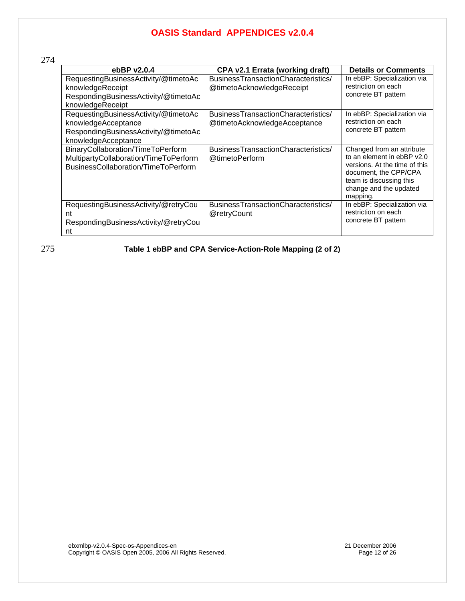274

| ebBP v2.0.4                                                                                                                | CPA v2.1 Errata (working draft)                                     | <b>Details or Comments</b>                                                                                                                                                         |
|----------------------------------------------------------------------------------------------------------------------------|---------------------------------------------------------------------|------------------------------------------------------------------------------------------------------------------------------------------------------------------------------------|
| RequestingBusinessActivity/@timetoAc<br>knowledgeReceipt<br>RespondingBusinessActivity/@timetoAc<br>knowledgeReceipt       | BusinessTransactionCharacteristics/<br>@timetoAcknowledgeReceipt    | In ebBP: Specialization via<br>restriction on each<br>concrete BT pattern                                                                                                          |
| RequestingBusinessActivity/@timetoAc<br>knowledgeAcceptance<br>RespondingBusinessActivity/@timetoAc<br>knowledgeAcceptance | BusinessTransactionCharacteristics/<br>@timetoAcknowledgeAcceptance | In ebBP: Specialization via<br>restriction on each<br>concrete BT pattern                                                                                                          |
| BinaryCollaboration/TimeToPerform<br>MultipartyCollaboration/TimeToPerform<br>BusinessCollaboration/TimeToPerform          | BusinessTransactionCharacteristics/<br>@timetoPerform               | Changed from an attribute<br>to an element in ebBP y2.0<br>versions. At the time of this<br>document, the CPP/CPA<br>team is discussing this<br>change and the updated<br>mapping. |
| RequestingBusinessActivity/@retryCou<br>nt<br>RespondingBusinessActivity/@retryCou<br>nt                                   | BusinessTransactionCharacteristics/<br>@retryCount                  | In ebBP: Specialization via<br>restriction on each<br>concrete BT pattern                                                                                                          |

275 **Table 1 ebBP and CPA Service-Action-Role Mapping (2 of 2)** 

ebxmlbp-v2.0.4-Spec-os-Appendices-en 21 December 2006 Copyright © OASIS Open 2005, 2006 All Rights Reserved. Page 12 of 26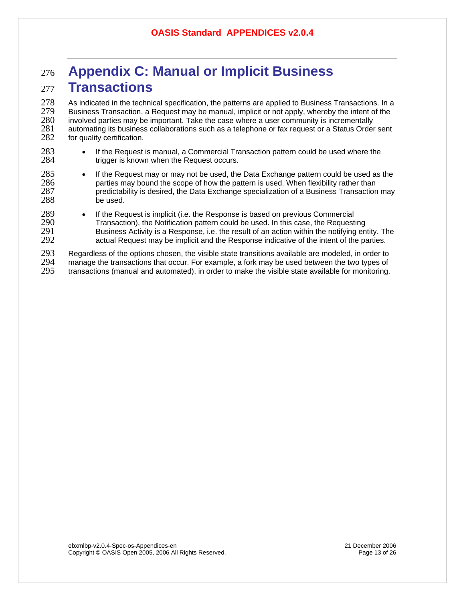## <sup>276</sup>**Appendix C: Manual or Implicit Business**  <sup>277</sup>**Transactions**

278 As indicated in the technical specification, the patterns are applied to Business Transactions. In a<br>279 Business Transaction, a Request may be manual, implicit or not apply, whereby the intent of the 279 Business Transaction, a Request may be manual, implicit or not apply, whereby the intent of the 280<br>280 involved parties may be important. Take the case where a user community is incrementally 280 involved parties may be important. Take the case where a user community is incrementally<br>281 automating its business collaborations such as a telephone or fax request or a Status Order 281 automating its business collaborations such as a telephone or fax request or a Status Order sent 282 for quality certification. for quality certification.

- 283 If the Request is manual, a Commercial Transaction pattern could be used where the 284 triquer is known when the Request occurs. trigger is known when the Request occurs.
- 285 If the Request may or may not be used, the Data Exchange pattern could be used as the 286 parties may bound the scope of how the pattern is used. When flexibility rather than 287 predictability is desired, the Data Exchange specialization of a Business Transaction 287 predictability is desired, the Data Exchange specialization of a Business Transaction may be used.
- 289 If the Request is implicit (i.e. the Response is based on previous Commercial<br>290 Transaction), the Notification pattern could be used. In this case, the Request 290 Transaction), the Notification pattern could be used. In this case, the Requesting<br>291 Susiness Activity is a Response, i.e. the result of an action within the notifying en 291 Business Activity is a Response, i.e. the result of an action within the notifying entity. The 292 actual Request may be implicit and the Response indicative of the intent of the parties. actual Request may be implicit and the Response indicative of the intent of the parties.

293 Regardless of the options chosen, the visible state transitions available are modeled, in order to 294 manage the transactions that occur. For example, a fork may be used between the two types of 294 manage the transactions that occur. For example, a fork may be used between the two types of 295 transactions (manual and automated), in order to make the visible state available for monitoring. transactions (manual and automated), in order to make the visible state available for monitoring.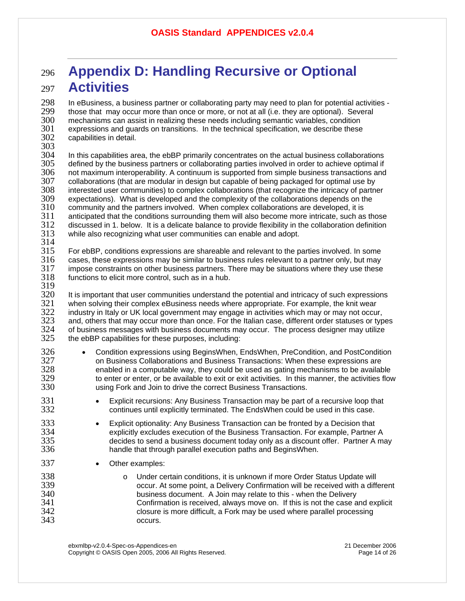## <sup>296</sup>**Appendix D: Handling Recursive or Optional**  <sup>297</sup>**Activities**

298 In eBusiness, a business partner or collaborating party may need to plan for potential activities -<br>299 Ithose that may occur more than once or more, or not at all (i.e. they are optional). Several 299 those that may occur more than once or more, or not at all (i.e. they are optional). Several<br>300 the mechanisms can assist in realizing these needs including semantic variables, condition 300 mechanisms can assist in realizing these needs including semantic variables, condition 301 expressions and guards on transitions. In the technical specification, we describe these .<br>302 capabilities in detail. capabilities in detail.

303<br>304

304 In this capabilities area, the ebBP primarily concentrates on the actual business collaborations<br>305 defined by the business partners or collaborating parties involved in order to achieve optimal if 305 defined by the business partners or collaborating parties involved in order to achieve optimal if<br>306 not maximum interoperabilitv. A continuum is supported from simple business transactions and 306 not maximum interoperability. A continuum is supported from simple business transactions and<br>307 collaborations (that are modular in design but capable of being packaged for optimal use by 307 collaborations (that are modular in design but capable of being packaged for optimal use by<br>308 interested user communities) to complex collaborations (that recognize the intricacy of partn interested user communities) to complex collaborations (that recognize the intricacy of partner 309 expectations). What is developed and the complexity of the collaborations depends on the 310 community and the partners involved. When complex collaborations are developed, it is community and the partners involved. When complex collaborations are developed, it is  $311$  anticipated that the conditions surrounding them will also become more intricate, such as those  $312$  discussed in 1. below. It is a delicate balance to provide flexibility in the collaboration definition 312 discussed in 1. below. It is a delicate balance to provide flexibility in the collaboration definition 313 while also recognizing what user communities can enable and adopt. while also recognizing what user communities can enable and adopt.

 $\frac{314}{315}$ 315 For ebBP, conditions expressions are shareable and relevant to the parties involved. In some 316 cases, these expressions may be similar to business rules relevant to a partner only, but may cases, these expressions may be similar to business rules relevant to a partner only, but may 317 impose constraints on other business partners. There may be situations where they use these 318 functions to elicit more control, such as in a hub. functions to elicit more control, such as in a hub.

319

320 It is important that user communities understand the potential and intricacy of such expressions 321 when solving their complex eBusiness needs where appropriate. For example, the knit wear 321 when solving their complex eBusiness needs where appropriate. For example, the knit wear<br>322 bindustry in Italy or UK local government may engage in activities which may or may not occu 322 industry in Italy or UK local government may engage in activities which may or may not occur,<br>323 and. others that may occur more than once. For the Italian case. different order statuses or tvr 323 and, others that may occur more than once. For the Italian case, different order statuses or types<br>324 of business messages with business documents may occur. The process designer may utilize 324 of business messages with business documents may occur. The process designer may utilize 325 the ebBP capabilities for these purposes, including: the ebBP capabilities for these purposes, including:

- 326 Condition expressions using BeginsWhen, EndsWhen, PreCondition, and PostCondition 327 on Business Collaborations and Business Transactions: When these expressions are enabled in a computable way, they could be used as gating mechanisms to be available 329 to enter or enter, or be available to exit or exit activities. In this manner, the activities flow 330 using Fork and Join to drive the correct Business Transactions.
- <sup>331</sup> Explicit recursions: Any Business Transaction may be part of a recursive loop that<br>332 continues until explicitly terminated. The EndsWhen could be used in this case. continues until explicitly terminated. The EndsWhen could be used in this case.
- <sup>333</sup> Explicit optionality: Any Business Transaction can be fronted by a Decision that<br>334  **explicitiv excludes execution of the Business Transaction. For example. Partner** explicitly excludes execution of the Business Transaction. For example, Partner A 335 decides to send a business document today only as a discount offer. Partner A may 336 handle that through parallel execution paths and BeginsWhen.
- 337 Other examples:
- <sup>338</sup> o Under certain conditions, it is unknown if more Order Status Update will<br>339 occur. At some point, a Delivery Confirmation will be received with a diff 339 occur. At some point, a Delivery Confirmation will be received with a different 340 business document. A Join may relate to this - when the Delivery Confirmation is received, always move on. If this is not the case and explicit 342 closure is more difficult, a Fork may be used where parallel processing occurs.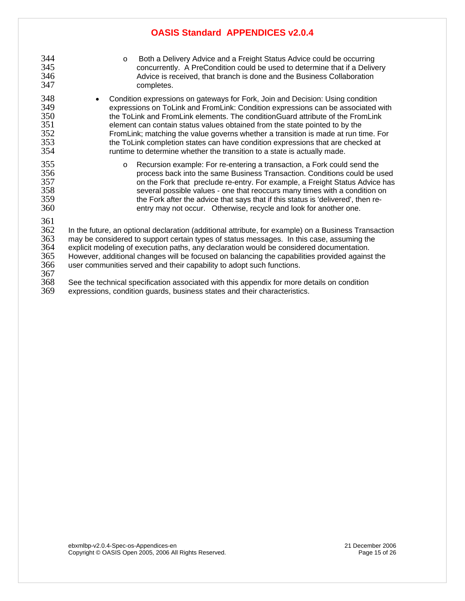- 344 o Both a Delivery Advice and a Freight Status Advice could be occurring<br>345 concurrently. A PreCondition could be used to determine that if a Delive 345 concurrently. A PreCondition could be used to determine that if a Delivery 346 Advice is received, that branch is done and the Business Collaboration<br>347 completes. completes. 348 • Condition expressions on gateways for Fork, Join and Decision: Using condition 349 expressions on ToLink and FromLink: Condition expressions can be associated with 350 the ToLink and FromLink elements. The conditionGuard attribute of the FromLink<br>351 selement can contain status values obtained from the state pointed to by the 351 element can contain status values obtained from the state pointed to by the FromLink; matching the value governs whether a transition is made at run time. For 353 the ToLink completion states can have condition expressions that are checked at 354 cuntime to determine whether the transition to a state is actually made. runtime to determine whether the transition to a state is actually made. 355 o Recursion example: For re-entering a transaction, a Fork could send the
- 356 process back into the same Business Transaction. Conditions could be used 357 on the Fork that preclude re-entry. For example, a Freight Status Advice has 358 several possible values - one that reoccurs many times with a condition on 359 the Fork after the advice that says that if this status is 'delivered', then re-360 entry may not occur. Otherwise, recycle and look for another one.

361<br>362 362 In the future, an optional declaration (additional attribute, for example) on a Business Transaction<br>363 may be considered to support certain types of status messages. In this case, assuming the 363 may be considered to support certain types of status messages. In this case, assuming the<br>364 explicit modeling of execution paths. anv declaration would be considered documentation. 364 explicit modeling of execution paths, any declaration would be considered documentation. 365 However, additional changes will be focused on balancing the capabilities provided against the 366 user communities served and their capability to adopt such functions.

367

368 See the technical specification associated with this appendix for more details on condition<br>369 expressions, condition quards, business states and their characteristics expressions, condition guards, business states and their characteristics.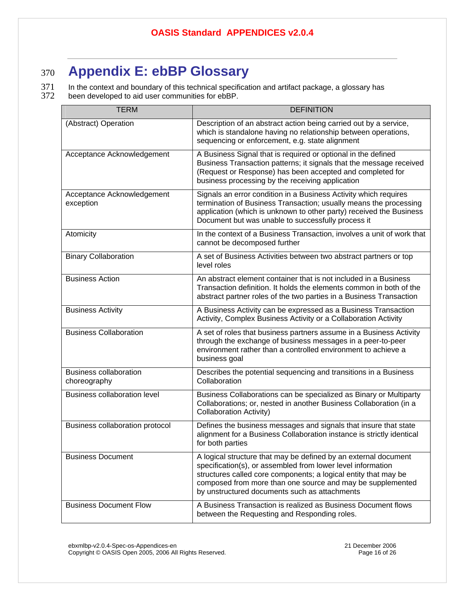# <sup>370</sup>**Appendix E: ebBP Glossary**

371 In the context and boundary of this technical specification and artifact package, a glossary has<br>372 been developed to aid user communities for ebBP. been developed to aid user communities for ebBP.

| <b>TERM</b>                                   | <b>DEFINITION</b>                                                                                                                                                                                                                                                                                                |
|-----------------------------------------------|------------------------------------------------------------------------------------------------------------------------------------------------------------------------------------------------------------------------------------------------------------------------------------------------------------------|
| (Abstract) Operation                          | Description of an abstract action being carried out by a service,<br>which is standalone having no relationship between operations,<br>sequencing or enforcement, e.g. state alignment                                                                                                                           |
| Acceptance Acknowledgement                    | A Business Signal that is required or optional in the defined<br>Business Transaction patterns; it signals that the message received<br>(Request or Response) has been accepted and completed for<br>business processing by the receiving application                                                            |
| Acceptance Acknowledgement<br>exception       | Signals an error condition in a Business Activity which requires<br>termination of Business Transaction; usually means the processing<br>application (which is unknown to other party) received the Business<br>Document but was unable to successfully process it                                               |
| Atomicity                                     | In the context of a Business Transaction, involves a unit of work that<br>cannot be decomposed further                                                                                                                                                                                                           |
| <b>Binary Collaboration</b>                   | A set of Business Activities between two abstract partners or top<br>level roles                                                                                                                                                                                                                                 |
| <b>Business Action</b>                        | An abstract element container that is not included in a Business<br>Transaction definition. It holds the elements common in both of the<br>abstract partner roles of the two parties in a Business Transaction                                                                                                   |
| <b>Business Activity</b>                      | A Business Activity can be expressed as a Business Transaction<br>Activity, Complex Business Activity or a Collaboration Activity                                                                                                                                                                                |
| <b>Business Collaboration</b>                 | A set of roles that business partners assume in a Business Activity<br>through the exchange of business messages in a peer-to-peer<br>environment rather than a controlled environment to achieve a<br>business goal                                                                                             |
| <b>Business collaboration</b><br>choreography | Describes the potential sequencing and transitions in a Business<br>Collaboration                                                                                                                                                                                                                                |
| <b>Business collaboration level</b>           | Business Collaborations can be specialized as Binary or Multiparty<br>Collaborations; or, nested in another Business Collaboration (in a<br><b>Collaboration Activity)</b>                                                                                                                                       |
| Business collaboration protocol               | Defines the business messages and signals that insure that state<br>alignment for a Business Collaboration instance is strictly identical<br>for both parties                                                                                                                                                    |
| <b>Business Document</b>                      | A logical structure that may be defined by an external document<br>specification(s), or assembled from lower level information<br>structures called core components; a logical entity that may be<br>composed from more than one source and may be supplemented<br>by unstructured documents such as attachments |
| <b>Business Document Flow</b>                 | A Business Transaction is realized as Business Document flows<br>between the Requesting and Responding roles.                                                                                                                                                                                                    |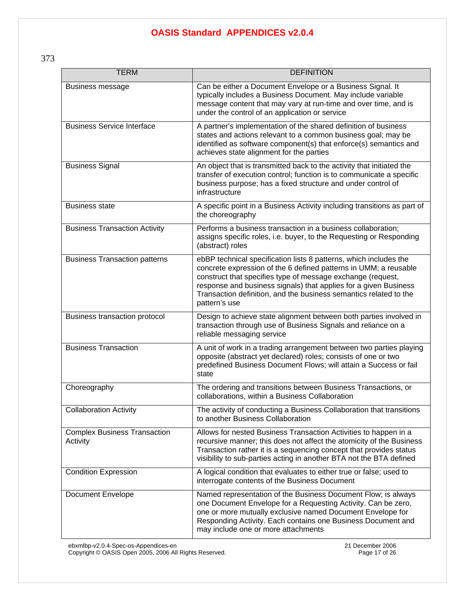373

| <b>TERM</b>                                     | <b>DEFINITION</b>                                                                                                                                                                                                                                                                                                                                              |
|-------------------------------------------------|----------------------------------------------------------------------------------------------------------------------------------------------------------------------------------------------------------------------------------------------------------------------------------------------------------------------------------------------------------------|
| Business message                                | Can be either a Document Envelope or a Business Signal. It<br>typically includes a Business Document. May include variable<br>message content that may vary at run-time and over time, and is<br>under the control of an application or service                                                                                                                |
| <b>Business Service Interface</b>               | A partner's implementation of the shared definition of business<br>states and actions relevant to a common business goal; may be<br>identified as software component(s) that enforce(s) semantics and<br>achieves state alignment for the parties                                                                                                              |
| <b>Business Signal</b>                          | An object that is transmitted back to the activity that initiated the<br>transfer of execution control; function is to communicate a specific<br>business purpose; has a fixed structure and under control of<br>infrastructure                                                                                                                                |
| <b>Business state</b>                           | A specific point in a Business Activity including transitions as part of<br>the choreography                                                                                                                                                                                                                                                                   |
| <b>Business Transaction Activity</b>            | Performs a business transaction in a business collaboration;<br>assigns specific roles, i.e. buyer, to the Requesting or Responding<br>(abstract) roles                                                                                                                                                                                                        |
| <b>Business Transaction patterns</b>            | ebBP technical specification lists 8 patterns, which includes the<br>concrete expression of the 6 defined patterns in UMM; a reusable<br>construct that specifies type of message exchange (request,<br>response and business signals) that applies for a given Business<br>Transaction definition, and the business semantics related to the<br>pattern's use |
| Business transaction protocol                   | Design to achieve state alignment between both parties involved in<br>transaction through use of Business Signals and reliance on a<br>reliable messaging service                                                                                                                                                                                              |
| <b>Business Transaction</b>                     | A unit of work in a trading arrangement between two parties playing<br>opposite (abstract yet declared) roles; consists of one or two<br>predefined Business Document Flows; will attain a Success or fail<br>state                                                                                                                                            |
| Choreography                                    | The ordering and transitions between Business Transactions, or<br>collaborations, within a Business Collaboration                                                                                                                                                                                                                                              |
| <b>Collaboration Activity</b>                   | The activity of conducting a Business Collaboration that transitions<br>to another Business Collaboration                                                                                                                                                                                                                                                      |
| <b>Complex Business Transaction</b><br>Activity | Allows for nested Business Transaction Activities to happen in a<br>recursive manner; this does not affect the atomicity of the Business<br>Transaction rather it is a sequencing concept that provides status<br>visibility to sub-parties acting in another BTA not the BTA defined                                                                          |
| <b>Condition Expression</b>                     | A logical condition that evaluates to either true or false; used to<br>interrogate contents of the Business Document                                                                                                                                                                                                                                           |
| <b>Document Envelope</b>                        | Named representation of the Business Document Flow; is always<br>one Document Envelope for a Requesting Activity. Can be zero,<br>one or more mutually exclusive named Document Envelope for<br>Responding Activity. Each contains one Business Document and<br>may include one or more attachments                                                            |

ebxmlbp-v2.0.4-Spec-os-Appendices-en 21 December 2006

Copyright © OASIS Open 2005, 2006 All Rights Reserved. Page 17 of 26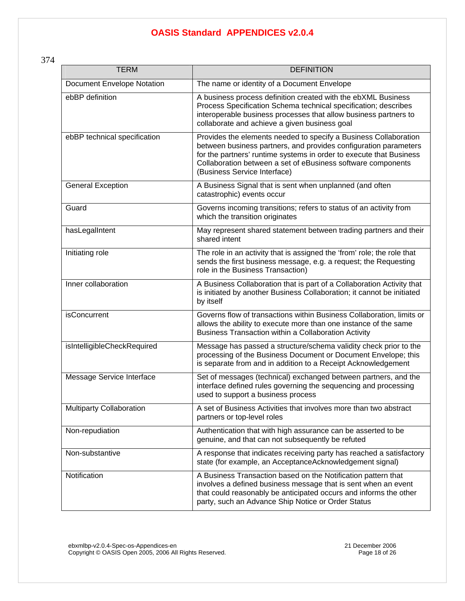374

| <b>TERM</b>                       | <b>DEFINITION</b>                                                                                                                                                                                                                                                                                           |
|-----------------------------------|-------------------------------------------------------------------------------------------------------------------------------------------------------------------------------------------------------------------------------------------------------------------------------------------------------------|
| <b>Document Envelope Notation</b> | The name or identity of a Document Envelope                                                                                                                                                                                                                                                                 |
| ebBP definition                   | A business process definition created with the ebXML Business<br>Process Specification Schema technical specification; describes<br>interoperable business processes that allow business partners to<br>collaborate and achieve a given business goal                                                       |
| ebBP technical specification      | Provides the elements needed to specify a Business Collaboration<br>between business partners, and provides configuration parameters<br>for the partners' runtime systems in order to execute that Business<br>Collaboration between a set of eBusiness software components<br>(Business Service Interface) |
| <b>General Exception</b>          | A Business Signal that is sent when unplanned (and often<br>catastrophic) events occur                                                                                                                                                                                                                      |
| Guard                             | Governs incoming transitions; refers to status of an activity from<br>which the transition originates                                                                                                                                                                                                       |
| hasLegalIntent                    | May represent shared statement between trading partners and their<br>shared intent                                                                                                                                                                                                                          |
| Initiating role                   | The role in an activity that is assigned the 'from' role; the role that<br>sends the first business message, e.g. a request; the Requesting<br>role in the Business Transaction)                                                                                                                            |
| Inner collaboration               | A Business Collaboration that is part of a Collaboration Activity that<br>is initiated by another Business Collaboration; it cannot be initiated<br>by itself                                                                                                                                               |
| <b>isConcurrent</b>               | Governs flow of transactions within Business Collaboration, limits or<br>allows the ability to execute more than one instance of the same<br>Business Transaction within a Collaboration Activity                                                                                                           |
| isIntelligibleCheckRequired       | Message has passed a structure/schema validity check prior to the<br>processing of the Business Document or Document Envelope; this<br>is separate from and in addition to a Receipt Acknowledgement                                                                                                        |
| Message Service Interface         | Set of messages (technical) exchanged between partners, and the<br>interface defined rules governing the sequencing and processing<br>used to support a business process                                                                                                                                    |
| <b>Multiparty Collaboration</b>   | A set of Business Activities that involves more than two abstract<br>partners or top-level roles                                                                                                                                                                                                            |
| Non-repudiation                   | Authentication that with high assurance can be asserted to be<br>genuine, and that can not subsequently be refuted                                                                                                                                                                                          |
| Non-substantive                   | A response that indicates receiving party has reached a satisfactory<br>state (for example, an AcceptanceAcknowledgement signal)                                                                                                                                                                            |
| Notification                      | A Business Transaction based on the Notification pattern that<br>involves a defined business message that is sent when an event<br>that could reasonably be anticipated occurs and informs the other<br>party, such an Advance Ship Notice or Order Status                                                  |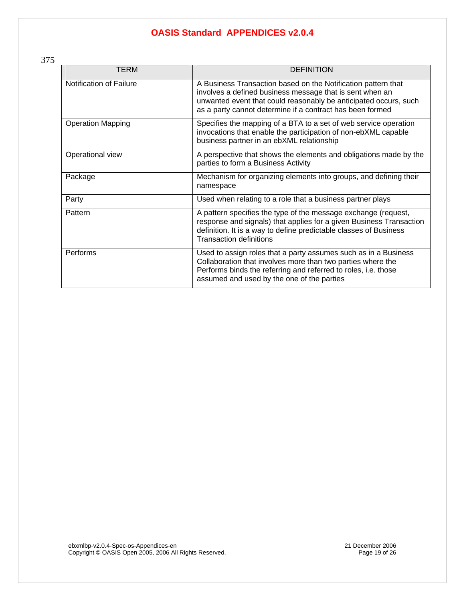375

| TERM                     | <b>DEFINITION</b>                                                                                                                                                                                                                                          |
|--------------------------|------------------------------------------------------------------------------------------------------------------------------------------------------------------------------------------------------------------------------------------------------------|
| Notification of Failure  | A Business Transaction based on the Notification pattern that<br>involves a defined business message that is sent when an<br>unwanted event that could reasonably be anticipated occurs, such<br>as a party cannot determine if a contract has been formed |
| <b>Operation Mapping</b> | Specifies the mapping of a BTA to a set of web service operation<br>invocations that enable the participation of non-ebXML capable<br>business partner in an ebXML relationship                                                                            |
| Operational view         | A perspective that shows the elements and obligations made by the<br>parties to form a Business Activity                                                                                                                                                   |
| Package                  | Mechanism for organizing elements into groups, and defining their<br>namespace                                                                                                                                                                             |
| Party                    | Used when relating to a role that a business partner plays                                                                                                                                                                                                 |
| Pattern                  | A pattern specifies the type of the message exchange (request,<br>response and signals) that applies for a given Business Transaction<br>definition. It is a way to define predictable classes of Business<br><b>Transaction definitions</b>               |
| Performs                 | Used to assign roles that a party assumes such as in a Business<br>Collaboration that involves more than two parties where the<br>Performs binds the referring and referred to roles, i.e. those<br>assumed and used by the one of the parties             |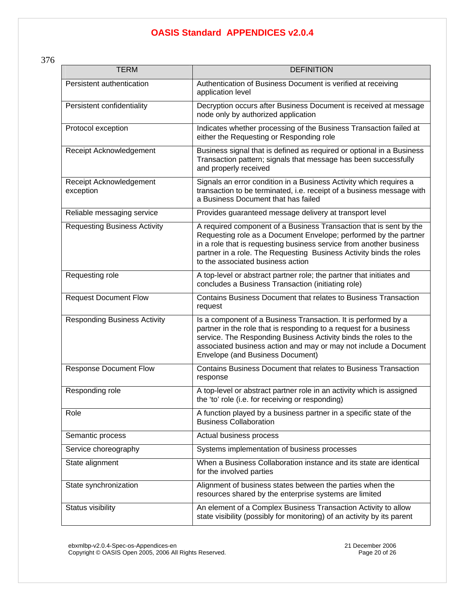376

| <b>TERM</b>                          | <b>DEFINITION</b>                                                                                                                                                                                                                                                                                                         |
|--------------------------------------|---------------------------------------------------------------------------------------------------------------------------------------------------------------------------------------------------------------------------------------------------------------------------------------------------------------------------|
| Persistent authentication            | Authentication of Business Document is verified at receiving<br>application level                                                                                                                                                                                                                                         |
| Persistent confidentiality           | Decryption occurs after Business Document is received at message<br>node only by authorized application                                                                                                                                                                                                                   |
| Protocol exception                   | Indicates whether processing of the Business Transaction failed at<br>either the Requesting or Responding role                                                                                                                                                                                                            |
| Receipt Acknowledgement              | Business signal that is defined as required or optional in a Business<br>Transaction pattern; signals that message has been successfully<br>and properly received                                                                                                                                                         |
| Receipt Acknowledgement<br>exception | Signals an error condition in a Business Activity which requires a<br>transaction to be terminated, i.e. receipt of a business message with<br>a Business Document that has failed                                                                                                                                        |
| Reliable messaging service           | Provides guaranteed message delivery at transport level                                                                                                                                                                                                                                                                   |
| <b>Requesting Business Activity</b>  | A required component of a Business Transaction that is sent by the<br>Requesting role as a Document Envelope; performed by the partner<br>in a role that is requesting business service from another business<br>partner in a role. The Requesting Business Activity binds the roles<br>to the associated business action |
| Requesting role                      | A top-level or abstract partner role; the partner that initiates and<br>concludes a Business Transaction (initiating role)                                                                                                                                                                                                |
| <b>Request Document Flow</b>         | Contains Business Document that relates to Business Transaction<br>request                                                                                                                                                                                                                                                |
| <b>Responding Business Activity</b>  | Is a component of a Business Transaction. It is performed by a<br>partner in the role that is responding to a request for a business<br>service. The Responding Business Activity binds the roles to the<br>associated business action and may or may not include a Document<br>Envelope (and Business Document)          |
| <b>Response Document Flow</b>        | Contains Business Document that relates to Business Transaction<br>response                                                                                                                                                                                                                                               |
| Responding role                      | A top-level or abstract partner role in an activity which is assigned<br>the 'to' role (i.e. for receiving or responding)                                                                                                                                                                                                 |
| Role                                 | A function played by a business partner in a specific state of the<br><b>Business Collaboration</b>                                                                                                                                                                                                                       |
| Semantic process                     | Actual business process                                                                                                                                                                                                                                                                                                   |
| Service choreography                 | Systems implementation of business processes                                                                                                                                                                                                                                                                              |
| State alignment                      | When a Business Collaboration instance and its state are identical<br>for the involved parties                                                                                                                                                                                                                            |
| State synchronization                | Alignment of business states between the parties when the<br>resources shared by the enterprise systems are limited                                                                                                                                                                                                       |
| Status visibility                    | An element of a Complex Business Transaction Activity to allow<br>state visibility (possibly for monitoring) of an activity by its parent                                                                                                                                                                                 |

ebxmlbp-v2.0.4-Spec-os-Appendices-en 21 December 2006 Copyright © OASIS Open 2005, 2006 All Rights Reserved. Page 20 of 26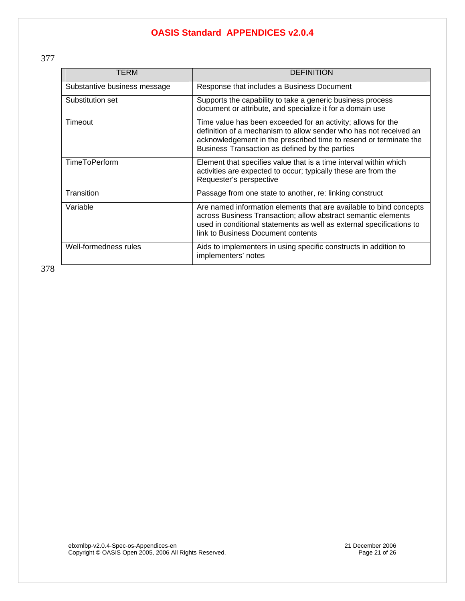377

| TERM                         | <b>DEFINITION</b>                                                                                                                                                                                                                                        |
|------------------------------|----------------------------------------------------------------------------------------------------------------------------------------------------------------------------------------------------------------------------------------------------------|
| Substantive business message | Response that includes a Business Document                                                                                                                                                                                                               |
| Substitution set             | Supports the capability to take a generic business process<br>document or attribute, and specialize it for a domain use                                                                                                                                  |
| Timeout                      | Time value has been exceeded for an activity; allows for the<br>definition of a mechanism to allow sender who has not received an<br>acknowledgement in the prescribed time to resend or terminate the<br>Business Transaction as defined by the parties |
| <b>TimeToPerform</b>         | Element that specifies value that is a time interval within which<br>activities are expected to occur; typically these are from the<br>Requester's perspective                                                                                           |
| Transition                   | Passage from one state to another, re: linking construct                                                                                                                                                                                                 |
| Variable                     | Are named information elements that are available to bind concepts<br>across Business Transaction; allow abstract semantic elements<br>used in conditional statements as well as external specifications to<br>link to Business Document contents        |
| Well-formedness rules        | Aids to implementers in using specific constructs in addition to<br>implementers' notes                                                                                                                                                                  |

378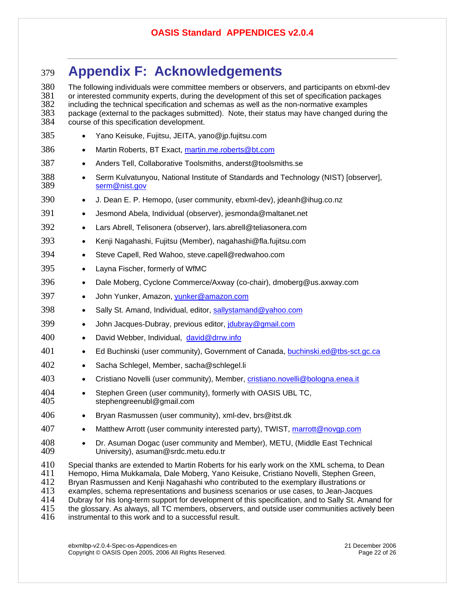## <sup>379</sup>**Appendix F: Acknowledgements**

380 The following individuals were committee members or observers, and participants on ebxml-dev<br>381 or interested community experts, during the development of this set of specification packages 381 or interested community experts, during the development of this set of specification packages<br>382 including the technical specification and schemas as well as the non-normative examples 382 including the technical specification and schemas as well as the non-normative examples<br>383 package (external to the packages submitted). Note, their status may have changed durir 383 package (external to the packages submitted). Note, their status may have changed during the 384 course of this specification development. course of this specification development. 385 • Yano Keisuke, Fujitsu, JEITA, yano@jp.fujitsu.com 386 • Martin Roberts, BT Exact, [martin.me.roberts@bt.com](mailto:martin.me.roberts@bt.com) 387 • Anders Tell, Collaborative Toolsmiths, anderst@toolsmiths.se 388 • Serm Kulvatunyou, National Institute of Standards and Technology (NIST) [observer], 389 [serm@nist.gov](mailto:serm@nist.gov) 390 • J. Dean E. P. Hemopo, (user community, ebxml-dev), jdeanh@ihug.co.nz 391 • Jesmond Abela, Individual (observer), jesmonda@maltanet.net 392 • Lars Abrell, Telisonera (observer), lars.abrell@teliasonera.com 393 • Kenji Nagahashi, Fujitsu (Member), nagahashi@fla.fujitsu.com 394 • Steve Capell, Red Wahoo, steve.capell@redwahoo.com 395 • Layna Fischer, formerly of WfMC 396 • Dale Moberg, Cyclone Commerce/Axway (co-chair), dmoberg@us.axway.com 397 • John Yunker, Amazon, [yunker@amazon.com](mailto:yunker@amazon.com) 398 • Sally St. Amand, Individual, editor, [sallystamand@yahoo.com](mailto:sallystamand@yahoo.com) 399 • John Jacques-Dubray, previous editor, joubray@gmail.com 400 • David Webber, Individual, [david@drrw.info](mailto:david@drrw.info) 401 • Ed Buchinski (user community), Government of Canada, [buchinski.ed@tbs-sct.gc.ca](mailto:buchinski.ed@tbs-sct.gc.ca) 402 • Sacha Schlegel, Member, sacha@schlegel.li 403 • Cristiano Novelli (user community), Member, [cristiano.novelli@bologna.enea.it](mailto:cristiano.novelli@bologna.enea.it) 404 • Stephen Green (user community), formerly with OASIS UBL TC,<br>405 stephengreenubl@gmail.com stephengreenubl@gmail.com 406 • Bryan Rasmussen (user community), xml-dev, brs@itst.dk 407 • Matthew Arrott (user community interested party), TWIST, [marrott@novgp.com](mailto:marrott@novgp.com) 408 • Dr. Asuman Dogac (user community and Member), METU, (Middle East Technical 409 University), asuman@srdc.metu.edu.tr

- 409 University), asuman@srdc.metu.edu.tr
- 410 Special thanks are extended to Martin Roberts for his early work on the XML schema, to Dean 411 Hemopo, Hima Mukkamala, Dale Moberg, Yano Keisuke, Cristiano Novelli, Stephen Green,<br>412 Bryan Rasmussen and Kenii Nagahashi who contributed to the exemplary illustrations or Bryan Rasmussen and Kenji Nagahashi who contributed to the exemplary illustrations or 413 examples, schema representations and business scenarios or use cases, to Jean-Jacques 414 Dubray for his long-term support for development of this specification, and to Sally St. Amand for 415 the glossary. As always, all TC members, observers, and outside user communities actively been 415 the glossary. As always, all TC members, observers, and outside user communities actively been<br>416 instrumental to this work and to a successful result. instrumental to this work and to a successful result.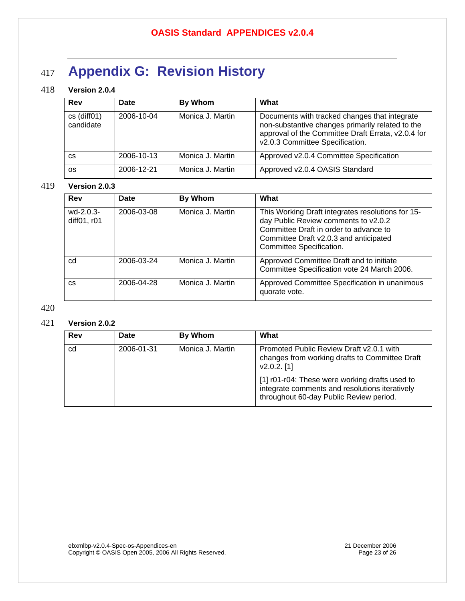# <sup>417</sup>**Appendix G: Revision History**

#### 418 **Version 2.0.4**

| Rev                            | Date       | By Whom          | What                                                                                                                                                                                       |
|--------------------------------|------------|------------------|--------------------------------------------------------------------------------------------------------------------------------------------------------------------------------------------|
| $cs$ (diff $01$ )<br>candidate | 2006-10-04 | Monica J. Martin | Documents with tracked changes that integrate<br>non-substantive changes primarily related to the<br>approval of the Committee Draft Errata, v2.0.4 for<br>v2.0.3 Committee Specification. |
| CS                             | 2006-10-13 | Monica J. Martin | Approved v2.0.4 Committee Specification                                                                                                                                                    |
| 0S                             | 2006-12-21 | Monica J. Martin | Approved v2.0.4 OASIS Standard                                                                                                                                                             |

#### 419 **Version 2.0.3**

| Rev                        | Date       | <b>By Whom</b>   | What                                                                                                                                                                                                      |
|----------------------------|------------|------------------|-----------------------------------------------------------------------------------------------------------------------------------------------------------------------------------------------------------|
| $wd-2.0.3-$<br>diff01, r01 | 2006-03-08 | Monica J. Martin | This Working Draft integrates resolutions for 15-<br>day Public Review comments to v2.0.2<br>Committee Draft in order to advance to<br>Committee Draft v2.0.3 and anticipated<br>Committee Specification. |
| cd                         | 2006-03-24 | Monica J. Martin | Approved Committee Draft and to initiate<br>Committee Specification vote 24 March 2006.                                                                                                                   |
| CS                         | 2006-04-28 | Monica J. Martin | Approved Committee Specification in unanimous<br>quorate vote.                                                                                                                                            |

#### 420

#### 421 **Version 2.0.2**

| Rev | Date       | By Whom          | What                                                                                                                                        |
|-----|------------|------------------|---------------------------------------------------------------------------------------------------------------------------------------------|
| cd  | 2006-01-31 | Monica J. Martin | Promoted Public Review Draft v2.0.1 with<br>changes from working drafts to Committee Draft<br>$V2.0.2.$ [1]                                 |
|     |            |                  | [1] r01-r04: These were working drafts used to<br>integrate comments and resolutions iteratively<br>throughout 60-day Public Review period. |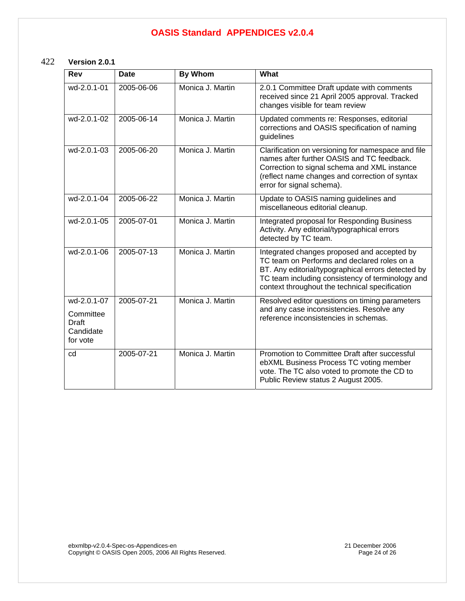#### 422 **Version 2.0.1**

| Rev                                                        | <b>Date</b> | <b>By Whom</b>   | What                                                                                                                                                                                                                                                   |
|------------------------------------------------------------|-------------|------------------|--------------------------------------------------------------------------------------------------------------------------------------------------------------------------------------------------------------------------------------------------------|
| wd-2.0.1-01                                                | 2005-06-06  | Monica J. Martin | 2.0.1 Committee Draft update with comments<br>received since 21 April 2005 approval. Tracked<br>changes visible for team review                                                                                                                        |
| wd-2.0.1-02                                                | 2005-06-14  | Monica J. Martin | Updated comments re: Responses, editorial<br>corrections and OASIS specification of naming<br>guidelines                                                                                                                                               |
| wd-2.0.1-03                                                | 2005-06-20  | Monica J. Martin | Clarification on versioning for namespace and file<br>names after further OASIS and TC feedback.<br>Correction to signal schema and XML instance<br>(reflect name changes and correction of syntax<br>error for signal schema).                        |
| wd-2.0.1-04                                                | 2005-06-22  | Monica J. Martin | Update to OASIS naming guidelines and<br>miscellaneous editorial cleanup.                                                                                                                                                                              |
| wd-2.0.1-05                                                | 2005-07-01  | Monica J. Martin | Integrated proposal for Responding Business<br>Activity. Any editorial/typographical errors<br>detected by TC team.                                                                                                                                    |
| wd-2.0.1-06                                                | 2005-07-13  | Monica J. Martin | Integrated changes proposed and accepted by<br>TC team on Performs and declared roles on a<br>BT. Any editorial/typographical errors detected by<br>TC team including consistency of terminology and<br>context throughout the technical specification |
| wd-2.0.1-07<br>Committee<br>Draft<br>Candidate<br>for vote | 2005-07-21  | Monica J. Martin | Resolved editor questions on timing parameters<br>and any case inconsistencies. Resolve any<br>reference inconsistencies in schemas.                                                                                                                   |
| cd                                                         | 2005-07-21  | Monica J. Martin | Promotion to Committee Draft after successful<br>ebXML Business Process TC voting member<br>vote. The TC also voted to promote the CD to<br>Public Review status 2 August 2005.                                                                        |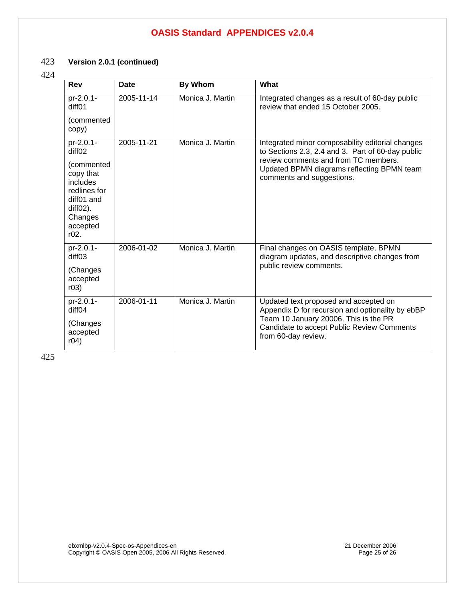#### 423 **Version 2.0.1 (continued)**

#### 424

| <b>Rev</b>                                                                                                                             | Date       | <b>By Whom</b>   | What                                                                                                                                                                                                                     |
|----------------------------------------------------------------------------------------------------------------------------------------|------------|------------------|--------------------------------------------------------------------------------------------------------------------------------------------------------------------------------------------------------------------------|
| pr-2.0.1-<br>diff01<br>(commented                                                                                                      | 2005-11-14 | Monica J. Martin | Integrated changes as a result of 60-day public<br>review that ended 15 October 2005.                                                                                                                                    |
| copy)                                                                                                                                  |            |                  |                                                                                                                                                                                                                          |
| pr-2.0.1-<br>diffO2<br>(commented<br>copy that<br>includes<br>redlines for<br>diff01 and<br>$diffO2$ ).<br>Changes<br>accepted<br>r02. | 2005-11-21 | Monica J. Martin | Integrated minor composability editorial changes<br>to Sections 2.3, 2.4 and 3. Part of 60-day public<br>review comments and from TC members.<br>Updated BPMN diagrams reflecting BPMN team<br>comments and suggestions. |
| pr-2.0.1-<br>diff <sub>03</sub><br>(Changes<br>accepted<br>r03)                                                                        | 2006-01-02 | Monica J. Martin | Final changes on OASIS template, BPMN<br>diagram updates, and descriptive changes from<br>public review comments.                                                                                                        |
| pr-2.0.1-<br>diff <sub>04</sub><br>(Changes<br>accepted                                                                                | 2006-01-11 | Monica J. Martin | Updated text proposed and accepted on<br>Appendix D for recursion and optionality by ebBP<br>Team 10 January 20006. This is the PR<br>Candidate to accept Public Review Comments                                         |
| r04)                                                                                                                                   |            |                  | from 60-day review.                                                                                                                                                                                                      |

425